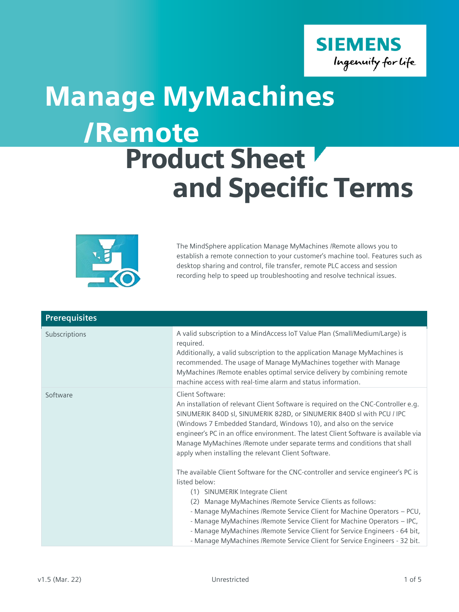

## /Remote Product Sheet and Specific Terms Manage MyMachines  $\mathcal{L}$



The MindSphere application Manage MyMachines /Remote allows you to establish a remote connection to your customer's machine tool. Features such as desktop sharing and control, file transfer, remote PLC access and session recording help to speed up troubleshooting and resolve technical issues.

| <b>Prerequisites</b> |                                                                                                                                                                                                                                                                                                                                                                                                                                                                                                                          |
|----------------------|--------------------------------------------------------------------------------------------------------------------------------------------------------------------------------------------------------------------------------------------------------------------------------------------------------------------------------------------------------------------------------------------------------------------------------------------------------------------------------------------------------------------------|
| Subscriptions        | A valid subscription to a MindAccess IoT Value Plan (Small/Medium/Large) is<br>required.<br>Additionally, a valid subscription to the application Manage MyMachines is<br>recommended. The usage of Manage MyMachines together with Manage<br>MyMachines /Remote enables optimal service delivery by combining remote<br>machine access with real-time alarm and status information.                                                                                                                                     |
| Software             | Client Software:<br>An installation of relevant Client Software is required on the CNC-Controller e.g.<br>SINUMERIK 840D sl, SINUMERIK 828D, or SINUMERIK 840D sl with PCU / IPC<br>(Windows 7 Embedded Standard, Windows 10), and also on the service<br>engineer's PC in an office environment. The latest Client Software is available via<br>Manage MyMachines / Remote under separate terms and conditions that shall<br>apply when installing the relevant Client Software.                                        |
|                      | The available Client Software for the CNC-controller and service engineer's PC is<br>listed below:<br>(1) SINUMERIK Integrate Client<br>(2) Manage MyMachines / Remote Service Clients as follows:<br>- Manage MyMachines / Remote Service Client for Machine Operators - PCU,<br>- Manage MyMachines / Remote Service Client for Machine Operators - IPC,<br>- Manage MyMachines / Remote Service Client for Service Engineers - 64 bit,<br>- Manage MyMachines / Remote Service Client for Service Engineers - 32 bit. |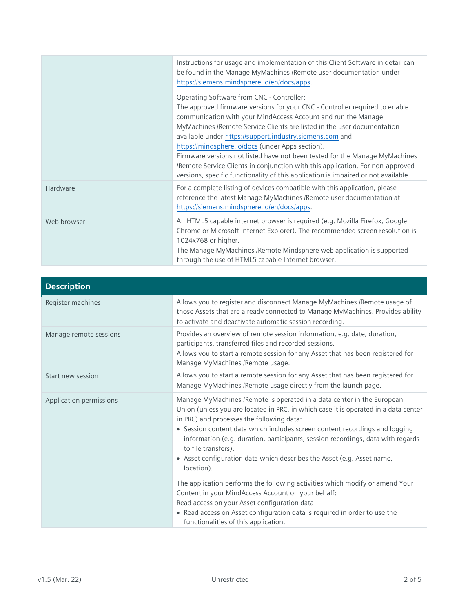|             | Instructions for usage and implementation of this Client Software in detail can<br>be found in the Manage MyMachines /Remote user documentation under<br>https://siemens.mindsphere.io/en/docs/apps.                                                                                                                                                                                 |
|-------------|--------------------------------------------------------------------------------------------------------------------------------------------------------------------------------------------------------------------------------------------------------------------------------------------------------------------------------------------------------------------------------------|
|             | Operating Software from CNC - Controller:<br>The approved firmware versions for your CNC - Controller required to enable<br>communication with your MindAccess Account and run the Manage<br>MyMachines /Remote Service Clients are listed in the user documentation<br>available under https://support.industry.siemens.com and<br>https://mindsphere.io/docs (under Apps section). |
|             | Firmware versions not listed have not been tested for the Manage MyMachines<br>/Remote Service Clients in conjunction with this application. For non-approved<br>versions, specific functionality of this application is impaired or not available.                                                                                                                                  |
| Hardware    | For a complete listing of devices compatible with this application, please<br>reference the latest Manage MyMachines / Remote user documentation at<br>https://siemens.mindsphere.io/en/docs/apps.                                                                                                                                                                                   |
| Web browser | An HTML5 capable internet browser is required (e.g. Mozilla Firefox, Google<br>Chrome or Microsoft Internet Explorer). The recommended screen resolution is<br>1024x768 or higher.<br>The Manage MyMachines /Remote Mindsphere web application is supported<br>through the use of HTML5 capable Internet browser.                                                                    |

| <b>Description</b>      |                                                                                                                                                                                                                                                                                                                                                                                                                                                                                                                                                                             |
|-------------------------|-----------------------------------------------------------------------------------------------------------------------------------------------------------------------------------------------------------------------------------------------------------------------------------------------------------------------------------------------------------------------------------------------------------------------------------------------------------------------------------------------------------------------------------------------------------------------------|
| Register machines       | Allows you to register and disconnect Manage MyMachines /Remote usage of<br>those Assets that are already connected to Manage MyMachines. Provides ability<br>to activate and deactivate automatic session recording.                                                                                                                                                                                                                                                                                                                                                       |
| Manage remote sessions  | Provides an overview of remote session information, e.g. date, duration,<br>participants, transferred files and recorded sessions.<br>Allows you to start a remote session for any Asset that has been registered for<br>Manage MyMachines / Remote usage.                                                                                                                                                                                                                                                                                                                  |
| Start new session       | Allows you to start a remote session for any Asset that has been registered for<br>Manage MyMachines /Remote usage directly from the launch page.                                                                                                                                                                                                                                                                                                                                                                                                                           |
| Application permissions | Manage MyMachines /Remote is operated in a data center in the European<br>Union (unless you are located in PRC, in which case it is operated in a data center<br>in PRC) and processes the following data:<br>• Session content data which includes screen content recordings and logging<br>information (e.g. duration, participants, session recordings, data with regards<br>to file transfers).<br>• Asset configuration data which describes the Asset (e.g. Asset name,<br>location).<br>The application performs the following activities which modify or amend Your |
|                         | Content in your MindAccess Account on your behalf:<br>Read access on your Asset configuration data<br>• Read access on Asset configuration data is required in order to use the                                                                                                                                                                                                                                                                                                                                                                                             |
|                         | functionalities of this application.                                                                                                                                                                                                                                                                                                                                                                                                                                                                                                                                        |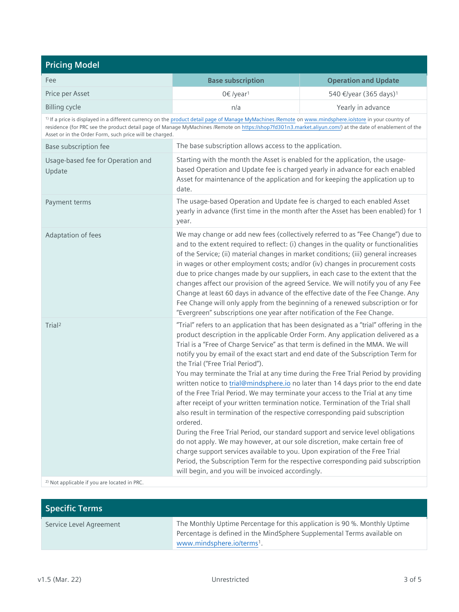| <b>Pricing Model</b>                                                                                                                                                                                                                                                                                                                                                                       |                                                                                                                                                                                                                                                                                                                                                                                                                                                                                                                                                                                                                                                                                                                                                                                                                                                                                                                                                                                                                                                                                                                                                                                                                              |                                    |
|--------------------------------------------------------------------------------------------------------------------------------------------------------------------------------------------------------------------------------------------------------------------------------------------------------------------------------------------------------------------------------------------|------------------------------------------------------------------------------------------------------------------------------------------------------------------------------------------------------------------------------------------------------------------------------------------------------------------------------------------------------------------------------------------------------------------------------------------------------------------------------------------------------------------------------------------------------------------------------------------------------------------------------------------------------------------------------------------------------------------------------------------------------------------------------------------------------------------------------------------------------------------------------------------------------------------------------------------------------------------------------------------------------------------------------------------------------------------------------------------------------------------------------------------------------------------------------------------------------------------------------|------------------------------------|
| Fee                                                                                                                                                                                                                                                                                                                                                                                        | <b>Base subscription</b>                                                                                                                                                                                                                                                                                                                                                                                                                                                                                                                                                                                                                                                                                                                                                                                                                                                                                                                                                                                                                                                                                                                                                                                                     | <b>Operation and Update</b>        |
| Price per Asset                                                                                                                                                                                                                                                                                                                                                                            | 0€ /year <sup>1</sup>                                                                                                                                                                                                                                                                                                                                                                                                                                                                                                                                                                                                                                                                                                                                                                                                                                                                                                                                                                                                                                                                                                                                                                                                        | 540 €/year (365 days) <sup>1</sup> |
| <b>Billing cycle</b>                                                                                                                                                                                                                                                                                                                                                                       | n/a                                                                                                                                                                                                                                                                                                                                                                                                                                                                                                                                                                                                                                                                                                                                                                                                                                                                                                                                                                                                                                                                                                                                                                                                                          | Yearly in advance                  |
| <sup>1)</sup> If a price is displayed in a different currency on the product detail page of Manage MyMachines /Remote on www.mindsphere.io/store in your country of<br>residence (for PRC see the product detail page of Manage MyMachines /Remote on https://shop7fd301n3.market.aliyun.com/) at the date of enablement of the<br>Asset or in the Order Form, such price will be charged. |                                                                                                                                                                                                                                                                                                                                                                                                                                                                                                                                                                                                                                                                                                                                                                                                                                                                                                                                                                                                                                                                                                                                                                                                                              |                                    |
| Base subscription fee                                                                                                                                                                                                                                                                                                                                                                      | The base subscription allows access to the application.                                                                                                                                                                                                                                                                                                                                                                                                                                                                                                                                                                                                                                                                                                                                                                                                                                                                                                                                                                                                                                                                                                                                                                      |                                    |
| Usage-based fee for Operation and<br>Update                                                                                                                                                                                                                                                                                                                                                | Starting with the month the Asset is enabled for the application, the usage-<br>based Operation and Update fee is charged yearly in advance for each enabled<br>Asset for maintenance of the application and for keeping the application up to<br>date.                                                                                                                                                                                                                                                                                                                                                                                                                                                                                                                                                                                                                                                                                                                                                                                                                                                                                                                                                                      |                                    |
| Payment terms                                                                                                                                                                                                                                                                                                                                                                              | The usage-based Operation and Update fee is charged to each enabled Asset<br>yearly in advance (first time in the month after the Asset has been enabled) for 1<br>year.                                                                                                                                                                                                                                                                                                                                                                                                                                                                                                                                                                                                                                                                                                                                                                                                                                                                                                                                                                                                                                                     |                                    |
| Adaptation of fees                                                                                                                                                                                                                                                                                                                                                                         | We may change or add new fees (collectively referred to as "Fee Change") due to<br>and to the extent required to reflect: (i) changes in the quality or functionalities<br>of the Service; (ii) material changes in market conditions; (iii) general increases<br>in wages or other employment costs; and/or (iv) changes in procurement costs<br>due to price changes made by our suppliers, in each case to the extent that the<br>changes affect our provision of the agreed Service. We will notify you of any Fee<br>Change at least 60 days in advance of the effective date of the Fee Change. Any<br>Fee Change will only apply from the beginning of a renewed subscription or for<br>"Evergreen" subscriptions one year after notification of the Fee Change.                                                                                                                                                                                                                                                                                                                                                                                                                                                      |                                    |
| Trial <sup>2</sup>                                                                                                                                                                                                                                                                                                                                                                         | "Trial" refers to an application that has been designated as a "trial" offering in the<br>product description in the applicable Order Form. Any application delivered as a<br>Trial is a "Free of Charge Service" as that term is defined in the MMA. We will<br>notify you by email of the exact start and end date of the Subscription Term for<br>the Trial ("Free Trial Period").<br>You may terminate the Trial at any time during the Free Trial Period by providing<br>written notice to trial@mindsphere.io no later than 14 days prior to the end date<br>of the Free Trial Period. We may terminate your access to the Trial at any time<br>after receipt of your written termination notice. Termination of the Trial shall<br>also result in termination of the respective corresponding paid subscription<br>ordered.<br>During the Free Trial Period, our standard support and service level obligations<br>do not apply. We may however, at our sole discretion, make certain free of<br>charge support services available to you. Upon expiration of the Free Trial<br>Period, the Subscription Term for the respective corresponding paid subscription<br>will begin, and you will be invoiced accordingly. |                                    |
| <sup>2)</sup> Not applicable if you are located in PRC.                                                                                                                                                                                                                                                                                                                                    |                                                                                                                                                                                                                                                                                                                                                                                                                                                                                                                                                                                                                                                                                                                                                                                                                                                                                                                                                                                                                                                                                                                                                                                                                              |                                    |

| <b>Specific Terms</b>   |                                                                                                                                                                                                 |
|-------------------------|-------------------------------------------------------------------------------------------------------------------------------------------------------------------------------------------------|
| Service Level Agreement | The Monthly Uptime Percentage for this application is 90 %. Monthly Uptime<br>Percentage is defined in the MindSphere Supplemental Terms available on<br>www.mindsphere.io/terms <sup>1</sup> . |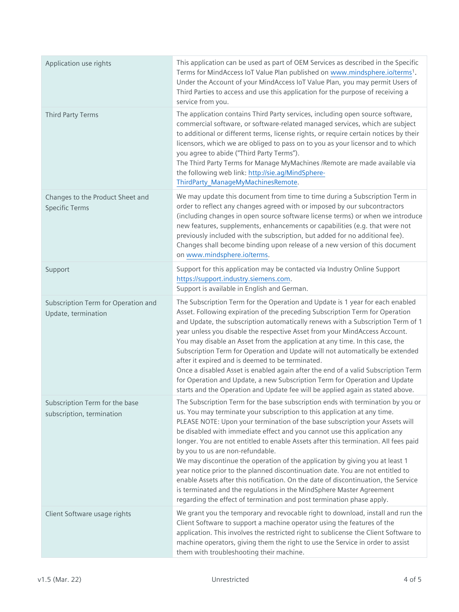| Application use rights                                      | This application can be used as part of OEM Services as described in the Specific<br>Terms for MindAccess IoT Value Plan published on www.mindsphere.io/terms1.<br>Under the Account of your MindAccess IoT Value Plan, you may permit Users of<br>Third Parties to access and use this application for the purpose of receiving a<br>service from you.                                                                                                                                                                                                                                                                                                                                                                                                                                                                                                      |
|-------------------------------------------------------------|--------------------------------------------------------------------------------------------------------------------------------------------------------------------------------------------------------------------------------------------------------------------------------------------------------------------------------------------------------------------------------------------------------------------------------------------------------------------------------------------------------------------------------------------------------------------------------------------------------------------------------------------------------------------------------------------------------------------------------------------------------------------------------------------------------------------------------------------------------------|
| Third Party Terms                                           | The application contains Third Party services, including open source software,<br>commercial software, or software-related managed services, which are subject<br>to additional or different terms, license rights, or require certain notices by their<br>licensors, which we are obliged to pass on to you as your licensor and to which<br>you agree to abide ("Third Party Terms").<br>The Third Party Terms for Manage MyMachines / Remote are made available via<br>the following web link: http://sie.ag/MindSphere-<br>ThirdParty_ManageMyMachinesRemote.                                                                                                                                                                                                                                                                                            |
| Changes to the Product Sheet and<br><b>Specific Terms</b>   | We may update this document from time to time during a Subscription Term in<br>order to reflect any changes agreed with or imposed by our subcontractors<br>(including changes in open source software license terms) or when we introduce<br>new features, supplements, enhancements or capabilities (e.g. that were not<br>previously included with the subscription, but added for no additional fee).<br>Changes shall become binding upon release of a new version of this document<br>on www.mindsphere.io/terms.                                                                                                                                                                                                                                                                                                                                      |
| Support                                                     | Support for this application may be contacted via Industry Online Support<br>https://support.industry.siemens.com.<br>Support is available in English and German.                                                                                                                                                                                                                                                                                                                                                                                                                                                                                                                                                                                                                                                                                            |
| Subscription Term for Operation and<br>Update, termination  | The Subscription Term for the Operation and Update is 1 year for each enabled<br>Asset. Following expiration of the preceding Subscription Term for Operation<br>and Update, the subscription automatically renews with a Subscription Term of 1<br>year unless you disable the respective Asset from your MindAccess Account.<br>You may disable an Asset from the application at any time. In this case, the<br>Subscription Term for Operation and Update will not automatically be extended<br>after it expired and is deemed to be terminated.<br>Once a disabled Asset is enabled again after the end of a valid Subscription Term<br>for Operation and Update, a new Subscription Term for Operation and Update<br>starts and the Operation and Update fee will be applied again as stated above.                                                     |
| Subscription Term for the base<br>subscription, termination | The Subscription Term for the base subscription ends with termination by you or<br>us. You may terminate your subscription to this application at any time.<br>PLEASE NOTE: Upon your termination of the base subscription your Assets will<br>be disabled with immediate effect and you cannot use this application any<br>longer. You are not entitled to enable Assets after this termination. All fees paid<br>by you to us are non-refundable.<br>We may discontinue the operation of the application by giving you at least 1<br>year notice prior to the planned discontinuation date. You are not entitled to<br>enable Assets after this notification. On the date of discontinuation, the Service<br>is terminated and the regulations in the MindSphere Master Agreement<br>regarding the effect of termination and post termination phase apply. |
| Client Software usage rights                                | We grant you the temporary and revocable right to download, install and run the<br>Client Software to support a machine operator using the features of the<br>application. This involves the restricted right to sublicense the Client Software to<br>machine operators, giving them the right to use the Service in order to assist<br>them with troubleshooting their machine.                                                                                                                                                                                                                                                                                                                                                                                                                                                                             |